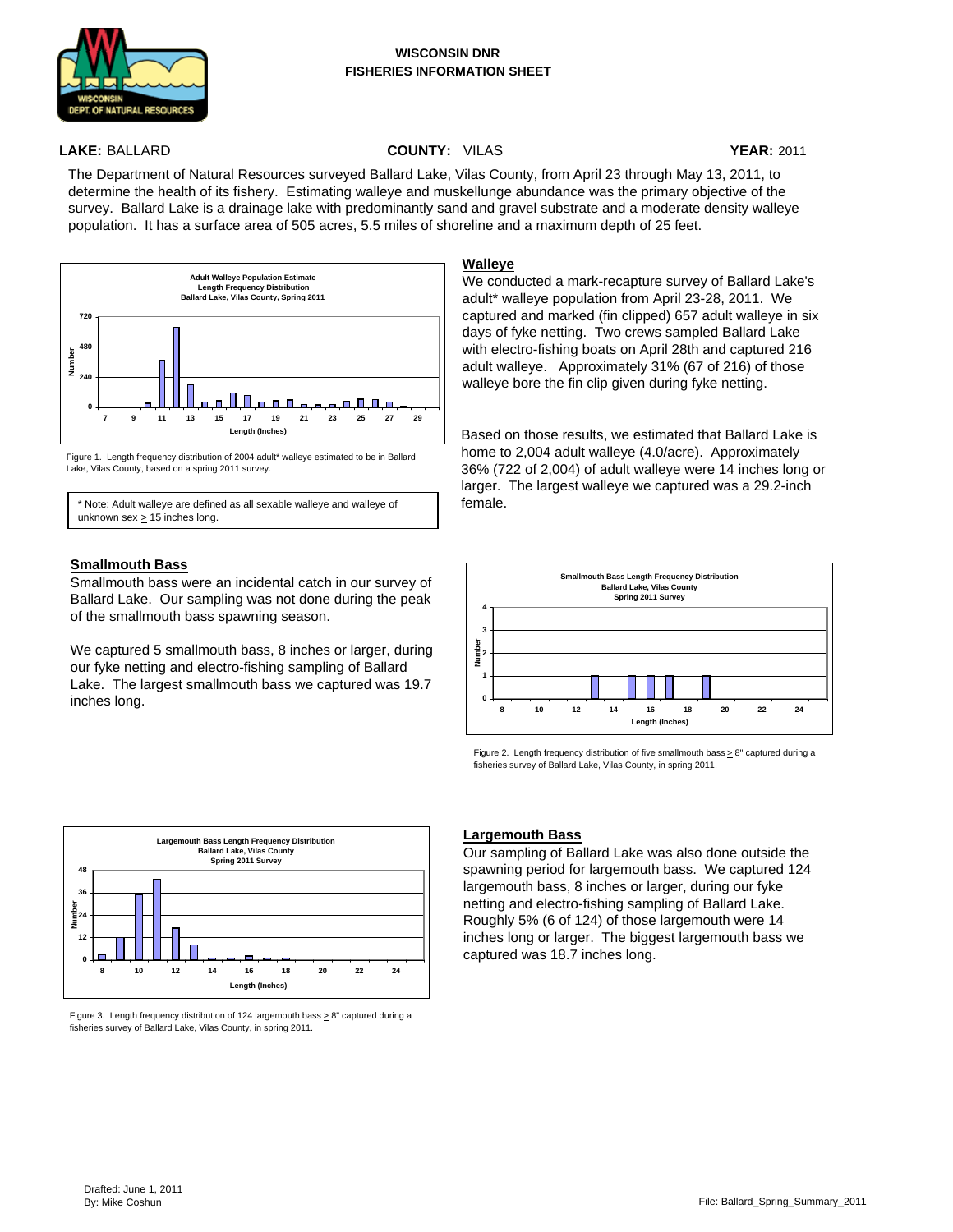

#### **WISCONSIN DNR FISHERIES INFORMATION SHEET**

## **LAKE:** BALLARD **COUNTY:** VILAS **YEAR:** 2011

The Department of Natural Resources surveyed Ballard Lake, Vilas County, from April 23 through May 13, 2011, to determine the health of its fishery. Estimating walleye and muskellunge abundance was the primary objective of the survey. Ballard Lake is a drainage lake with predominantly sand and gravel substrate and a moderate density walleye population. It has a surface area of 505 acres, 5.5 miles of shoreline and a maximum depth of 25 feet.



Figure 1. Length frequency distribution of 2004 adult\* walleye estimated to be in Ballard Lake, Vilas County, based on a spring 2011 survey.

\* Note: Adult walleye are defined as all sexable walleye and walleye of unknown sex  $\geq$  15 inches long.

## **Smallmouth Bass**

Smallmouth bass were an incidental catch in our survey of Ballard Lake. Our sampling was not done during the peak of the smallmouth bass spawning season.

We captured 5 smallmouth bass, 8 inches or larger, during our fyke netting and electro-fishing sampling of Ballard Lake. The largest smallmouth bass we captured was 19.7 inches long.



Figure 3. Length frequency distribution of 124 largemouth bass > 8" captured during a fisheries survey of Ballard Lake, Vilas County, in spring 2011.

## **Walleye**

We conducted a mark-recapture survey of Ballard Lake's adult\* walleye population from April 23-28, 2011. We captured and marked (fin clipped) 657 adult walleye in six days of fyke netting. Two crews sampled Ballard Lake with electro-fishing boats on April 28th and captured 216 adult walleye. Approximately 31% (67 of 216) of those walleye bore the fin clip given during fyke netting.

Based on those results, we estimated that Ballard Lake is home to 2,004 adult walleye (4.0/acre). Approximately 36% (722 of 2,004) of adult walleye were 14 inches long or larger. The largest walleye we captured was a 29.2-inch female.



Figure 2. Length frequency distribution of five smallmouth bass  $\geq 8$ " captured during a fisheries survey of Ballard Lake, Vilas County, in spring 2011.

## **Largemouth Bass**

Our sampling of Ballard Lake was also done outside the spawning period for largemouth bass. We captured 124 largemouth bass, 8 inches or larger, during our fyke netting and electro-fishing sampling of Ballard Lake. Roughly 5% (6 of 124) of those largemouth were 14 inches long or larger. The biggest largemouth bass we captured was 18.7 inches long.